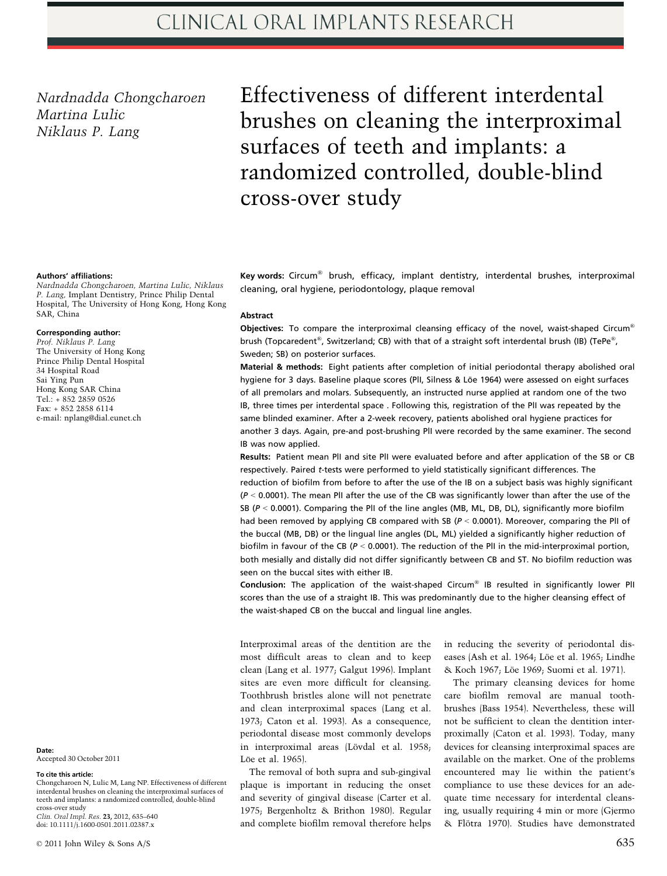Nardnadda Chongcharoen Martina Lulic Niklaus P. Lang

Effectiveness of different interdental brushes on cleaning the interproximal surfaces of teeth and implants: a randomized controlled, double-blind cross-over study

#### Authors' affiliations:

Nardnadda Chongcharoen, Martina Lulic, Niklaus P. Lang, Implant Dentistry, Prince Philip Dental Hospital, The University of Hong Kong, Hong Kong SAR, China

#### Corresponding author:

Prof. Niklaus P. Lang The University of Hong Kong Prince Philip Dental Hospital 34 Hospital Road Sai Ying Pun Hong Kong SAR China Tel.: + 852 2859 0526 Fax: + 852 2858 6114 e-mail: nplang@dial.eunet.ch

Date: Accepted 30 October 2011

#### To cite this article:

Chongcharoen N, Lulic M, Lang NP. Effectiveness of different interdental brushes on cleaning the interproximal surfaces of teeth and implants: a randomized controlled, double-blind cross-over study Clin. Oral Impl. Res. 23, 2012, 635–640 doi: 10.1111/j.1600-0501.2011.02387.x

Key words: Circum® brush, efficacy, implant dentistry, interdental brushes, interproximal cleaning, oral hygiene, periodontology, plaque removal

#### Abstract

**Objectives:** To compare the interproximal cleansing efficacy of the novel, waist-shaped Circum<sup>®</sup> brush (Topcaredent®, Switzerland; CB) with that of a straight soft interdental brush (IB) (TePe®, Sweden; SB) on posterior surfaces.

Material & methods: Eight patients after completion of initial periodontal therapy abolished oral hygiene for 3 days. Baseline plague scores (PlI, Silness & Löe 1964) were assessed on eight surfaces of all premolars and molars. Subsequently, an instructed nurse applied at random one of the two IB, three times per interdental space . Following this, registration of the PlI was repeated by the same blinded examiner. After a 2-week recovery, patients abolished oral hygiene practices for another 3 days. Again, pre-and post-brushing PlI were recorded by the same examiner. The second IB was now applied.

Results: Patient mean PlI and site PlI were evaluated before and after application of the SB or CB respectively. Paired t-tests were performed to yield statistically significant differences. The reduction of biofilm from before to after the use of the IB on a subject basis was highly significant  $(P < 0.0001)$ . The mean PlI after the use of the CB was significantly lower than after the use of the SB (P < 0.0001). Comparing the PlI of the line angles (MB, ML, DB, DL), significantly more biofilm had been removed by applying CB compared with SB ( $P < 0.0001$ ). Moreover, comparing the PlI of the buccal (MB, DB) or the lingual line angles (DL, ML) yielded a significantly higher reduction of biofilm in favour of the CB ( $P < 0.0001$ ). The reduction of the PlI in the mid-interproximal portion, both mesially and distally did not differ significantly between CB and ST. No biofilm reduction was seen on the buccal sites with either IB.

Conclusion: The application of the waist-shaped Circum® IB resulted in significantly lower PlI scores than the use of a straight IB. This was predominantly due to the higher cleansing effect of the waist-shaped CB on the buccal and lingual line angles.

Interproximal areas of the dentition are the most difficult areas to clean and to keep clean (Lang et al. 1977; Galgut 1996). Implant sites are even more difficult for cleansing. Toothbrush bristles alone will not penetrate and clean interproximal spaces (Lang et al. 1973; Caton et al. 1993). As a consequence, periodontal disease most commonly develops in interproximal areas (Lövdal et al. 1958; Löe et al. 1965).

The removal of both supra and sub-gingival plaque is important in reducing the onset and severity of gingival disease (Carter et al. 1975; Bergenholtz & Brithon 1980). Regular and complete biofilm removal therefore helps

in reducing the severity of periodontal diseases (Ash et al. 1964; Löe et al. 1965; Lindhe & Koch 1967; Löe 1969; Suomi et al. 1971).

The primary cleansing devices for home care biofilm removal are manual toothbrushes (Bass 1954). Nevertheless, these will not be sufficient to clean the dentition interproximally (Caton et al. 1993). Today, many devices for cleansing interproximal spaces are available on the market. One of the problems encountered may lie within the patient's compliance to use these devices for an adequate time necessary for interdental cleansing, usually requiring 4 min or more (Gjermo & Flötra 1970). Studies have demonstrated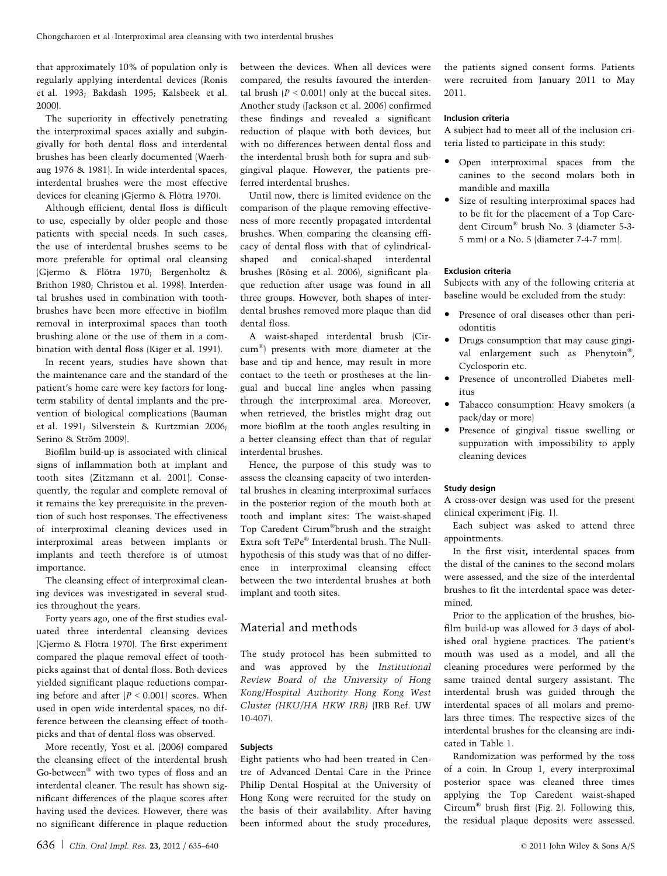that approximately 10% of population only is regularly applying interdental devices (Ronis et al. 1993; Bakdash 1995; Kalsbeek et al. 2000).

The superiority in effectively penetrating the interproximal spaces axially and subgingivally for both dental floss and interdental brushes has been clearly documented (Waerhaug 1976 & 1981). In wide interdental spaces, interdental brushes were the most effective devices for cleaning (Gjermo & Flötra 1970).

Although efficient, dental floss is difficult to use, especially by older people and those patients with special needs. In such cases, the use of interdental brushes seems to be more preferable for optimal oral cleansing (Gjermo & Flötra 1970; Bergenholtz & Brithon 1980; Christou et al. 1998). Interdental brushes used in combination with toothbrushes have been more effective in biofilm removal in interproximal spaces than tooth brushing alone or the use of them in a combination with dental floss (Kiger et al. 1991).

In recent years, studies have shown that the maintenance care and the standard of the patient's home care were key factors for longterm stability of dental implants and the prevention of biological complications (Bauman et al. 1991; Silverstein & Kurtzmian 2006; Serino & Ström 2009).

Biofilm build-up is associated with clinical signs of inflammation both at implant and tooth sites (Zitzmann et al. 2001). Consequently, the regular and complete removal of it remains the key prerequisite in the prevention of such host responses. The effectiveness of interproximal cleaning devices used in interproximal areas between implants or implants and teeth therefore is of utmost importance.

The cleansing effect of interproximal cleaning devices was investigated in several studies throughout the years.

Forty years ago, one of the first studies evaluated three interdental cleansing devices (Gjermo & Flötra 1970). The first experiment compared the plaque removal effect of toothpicks against that of dental floss. Both devices yielded significant plaque reductions comparing before and after  $|P < 0.001|$  scores. When used in open wide interdental spaces, no difference between the cleansing effect of toothpicks and that of dental floss was observed.

More recently, Yost et al. (2006) compared the cleansing effect of the interdental brush Go-between® with two types of floss and an interdental cleaner. The result has shown significant differences of the plaque scores after having used the devices. However, there was no significant difference in plaque reduction between the devices. When all devices were compared, the results favoured the interdental brush  $(P < 0.001)$  only at the buccal sites. Another study (Jackson et al. 2006) confirmed these findings and revealed a significant reduction of plaque with both devices, but with no differences between dental floss and the interdental brush both for supra and subgingival plaque. However, the patients preferred interdental brushes.

Until now, there is limited evidence on the comparison of the plaque removing effectiveness of more recently propagated interdental brushes. When comparing the cleansing efficacy of dental floss with that of cylindricalshaped and conical-shaped interdental brushes (Rösing et al. 2006), significant plaque reduction after usage was found in all three groups. However, both shapes of interdental brushes removed more plaque than did dental floss.

A waist-shaped interdental brush (Circum®) presents with more diameter at the base and tip and hence, may result in more contact to the teeth or prostheses at the lingual and buccal line angles when passing through the interproximal area. Moreover, when retrieved, the bristles might drag out more biofilm at the tooth angles resulting in a better cleansing effect than that of regular interdental brushes.

Hence, the purpose of this study was to assess the cleansing capacity of two interdental brushes in cleaning interproximal surfaces in the posterior region of the mouth both at tooth and implant sites: The waist-shaped Top Caredent Cirum®brush and the straight Extra soft TePe® Interdental brush. The Nullhypothesis of this study was that of no difference in interproximal cleansing effect between the two interdental brushes at both implant and tooth sites.

# Material and methods

The study protocol has been submitted to and was approved by the Institutional Review Board of the University of Hong Kong/Hospital Authority Hong Kong West Cluster (HKU/HA HKW IRB) (IRB Ref. UW 10-407).

## Subjects

Eight patients who had been treated in Centre of Advanced Dental Care in the Prince Philip Dental Hospital at the University of Hong Kong were recruited for the study on the basis of their availability. After having been informed about the study procedures,

the patients signed consent forms. Patients were recruited from January 2011 to May 2011.

#### Inclusion criteria

A subject had to meet all of the inclusion criteria listed to participate in this study:

- Open interproximal spaces from the canines to the second molars both in mandible and maxilla
- Size of resulting interproximal spaces had to be fit for the placement of a Top Caredent Circum® brush No. 3 (diameter 5-3- 5 mm) or a No. 5 (diameter 7-4-7 mm).

#### Exclusion criteria

Subjects with any of the following criteria at baseline would be excluded from the study:

- Presence of oral diseases other than periodontitis
- Drugs consumption that may cause gingival enlargement such as Phenytoin®, Cyclosporin etc.
- Presence of uncontrolled Diabetes mellitus
- Tabacco consumption: Heavy smokers (a pack/day or more)
- Presence of gingival tissue swelling or suppuration with impossibility to apply cleaning devices

### Study design

A cross-over design was used for the present clinical experiment (Fig. 1).

Each subject was asked to attend three appointments.

In the first visit, interdental spaces from the distal of the canines to the second molars were assessed, and the size of the interdental brushes to fit the interdental space was determined.

Prior to the application of the brushes, biofilm build-up was allowed for 3 days of abolished oral hygiene practices. The patient's mouth was used as a model, and all the cleaning procedures were performed by the same trained dental surgery assistant. The interdental brush was guided through the interdental spaces of all molars and premolars three times. The respective sizes of the interdental brushes for the cleansing are indicated in Table 1.

Randomization was performed by the toss of a coin. In Group 1, every interproximal posterior space was cleaned three times applying the Top Caredent waist-shaped Circum® brush first (Fig. 2). Following this, the residual plaque deposits were assessed.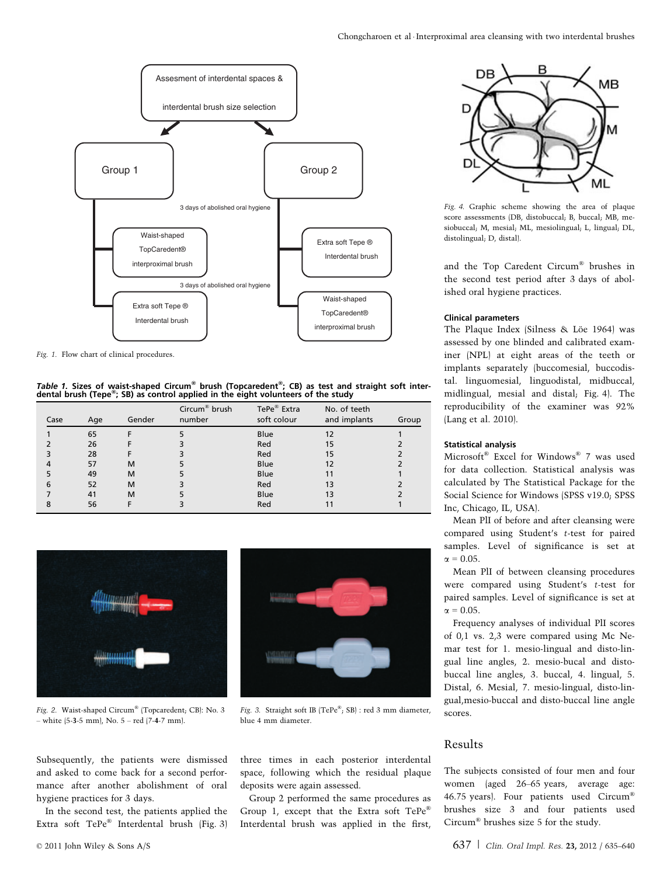



Fig. 1. Flow chart of clinical procedures.

Table 1. Sizes of waist-shaped Circum® brush (Topcaredent®; CB) as test and straight soft interdental brush (Tepe®; SB) as control applied in the eight volunteers of the study

| Case | Age | Gender | Circum <sup>®</sup> brush<br>number | TePe <sup>®</sup> Extra<br>soft colour | No. of teeth<br>and implants | Group |
|------|-----|--------|-------------------------------------|----------------------------------------|------------------------------|-------|
|      | 65  |        |                                     | <b>Blue</b>                            | 12                           |       |
|      | 26  |        |                                     | Red                                    | 15                           |       |
|      | 28  |        |                                     | Red                                    | 15                           |       |
|      | 57  | M      |                                     | Blue                                   | 12                           |       |
|      | 49  | M      |                                     | Blue                                   | 11                           |       |
| 6    | 52  | м      |                                     | Red                                    | 13                           |       |
|      | 41  | M      |                                     | Blue                                   | 13                           |       |
|      | 56  |        |                                     | Red                                    |                              |       |



Fig. 2. Waist-shaped Circum® (Topcaredent; CB): No. 3 – white (5-3-5 mm), No. 5 – red (7-4-7 mm).

Subsequently, the patients were dismissed and asked to come back for a second performance after another abolishment of oral hygiene practices for 3 days.

In the second test, the patients applied the Extra soft TePe® Interdental brush (Fig. 3)



Fig. 3. Straight soft IB (TePe®; SB) : red 3 mm diameter, blue 4 mm diameter.

three times in each posterior interdental space, following which the residual plaque deposits were again assessed.

Group 2 performed the same procedures as Group 1, except that the Extra soft TePe® Interdental brush was applied in the first,



Fig. 4. Graphic scheme showing the area of plaque score assessments (DB, distobuccal; B, buccal; MB, mesiobuccal; M, mesial; ML, mesiolingual; L, lingual; DL, distolingual; D, distal).

and the Top Caredent Circum® brushes in the second test period after 3 days of abolished oral hygiene practices.

#### Clinical parameters

The Plaque Index (Silness & Löe 1964) was assessed by one blinded and calibrated examiner (NPL) at eight areas of the teeth or implants separately (buccomesial, buccodistal. linguomesial, linguodistal, midbuccal, midlingual, mesial and distal; Fig. 4). The reproducibility of the examiner was 92% (Lang et al. 2010).

## Statistical analysis

Microsoft® Excel for Windows® 7 was used for data collection. Statistical analysis was calculated by The Statistical Package for the Social Science for Windows (SPSS v19.0; SPSS Inc, Chicago, IL, USA).

Mean PlI of before and after cleansing were compared using Student's t-test for paired samples. Level of significance is set at  $\alpha = 0.05$ .

Mean PlI of between cleansing procedures were compared using Student's t-test for paired samples. Level of significance is set at  $\alpha = 0.05$ .

Frequency analyses of individual PlI scores of 0,1 vs. 2,3 were compared using Mc Nemar test for 1. mesio-lingual and disto-lingual line angles, 2. mesio-bucal and distobuccal line angles, 3. buccal, 4. lingual, 5. Distal, 6. Mesial, 7. mesio-lingual, disto-lingual,mesio-buccal and disto-buccal line angle scores.

# Results

The subjects consisted of four men and four women (aged 26–65 years, average age: 46.75 years). Four patients used Circum® brushes size 3 and four patients used Circum® brushes size 5 for the study.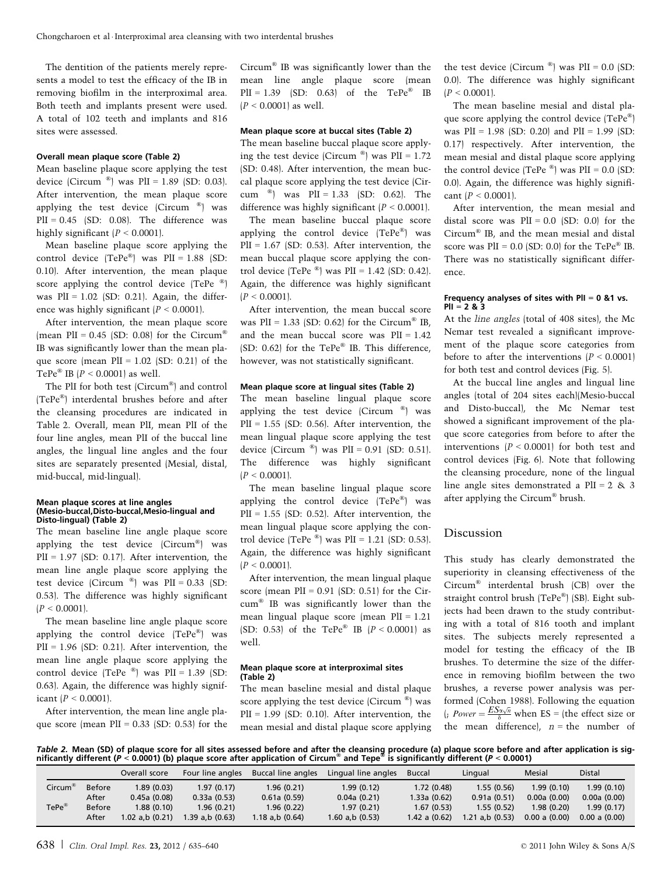The dentition of the patients merely represents a model to test the efficacy of the IB in removing biofilm in the interproximal area. Both teeth and implants present were used. A total of 102 teeth and implants and 816 sites were assessed.

### Overall mean plaque score (Table 2)

Mean baseline plaque score applying the test device (Circum  $\infty$ ) was PlI = 1.89 (SD: 0.03). After intervention, the mean plaque score applying the test device (Circum ®) was  $PII = 0.45$  (SD: 0.08). The difference was highly significant  $(P < 0.0001)$ .

Mean baseline plaque score applying the control device  $(TePe^{\omega})$  was  $PII = 1.88$  (SD: 0.10). After intervention, the mean plaque score applying the control device (TePe <sup>®</sup>) was  $PII = 1.02$  (SD: 0.21). Again, the difference was highly significant  $(P < 0.0001)$ .

After intervention, the mean plaque score (mean PlI = 0.45 (SD: 0.08) for the Circum<sup>®</sup> IB was significantly lower than the mean plaque score (mean  $PII = 1.02$  (SD: 0.21) of the TePe<sup>®</sup> IB  $(P < 0.0001)$  as well.

The PlI for both test (Circum®) and control (TePe®) interdental brushes before and after the cleansing procedures are indicated in Table 2. Overall, mean PlI, mean PlI of the four line angles, mean PlI of the buccal line angles, the lingual line angles and the four sites are separately presented (Mesial, distal, mid-buccal, mid-lingual).

#### Mean plaque scores at line angles (Mesio-buccal,Disto-buccal,Mesio-lingual and Disto-lingual) (Table 2)

The mean baseline line angle plaque score applying the test device (Circum®) was  $PII = 1.97$  (SD: 0.17). After intervention, the mean line angle plaque score applying the test device (Circum  $\infty$ ) was PlI = 0.33 (SD: 0.53). The difference was highly significant  $|P < 0.0001|$ .

The mean baseline line angle plaque score applying the control device (TePe®) was  $PII = 1.96$  (SD: 0.21). After intervention, the mean line angle plaque score applying the control device (TePe  $\textdegree$ ) was PlI = 1.39 (SD: 0.63). Again, the difference was highly significant  $(P < 0.0001)$ .

After intervention, the mean line angle plaque score (mean  $PII = 0.33$  (SD: 0.53) for the Circum® IB was significantly lower than the mean line angle plaque score (mean  $PII = 1.39$  (SD: 0.63) of the TePe<sup>®</sup> IB  $(P < 0.0001)$  as well.

## Mean plaque score at buccal sites (Table 2)

The mean baseline buccal plaque score applying the test device (Circum  $\degree$ ) was PlI = 1.72 (SD: 0.48). After intervention, the mean buccal plaque score applying the test device (Circum  $\infty$ ) was PlI = 1.33 (SD: 0.62). The difference was highly significant  $(P < 0.0001)$ .

The mean baseline buccal plaque score applying the control device (TePe®) was  $PII = 1.67$  (SD: 0.53). After intervention, the mean buccal plaque score applying the control device  $(TePe^{-\omega})$  was PlI = 1.42 (SD: 0.42). Again, the difference was highly significant  $(P < 0.0001)$ .

After intervention, the mean buccal score was  $PII = 1.33$  (SD: 0.62) for the Circum<sup>®</sup> IB, and the mean buccal score was  $PII = 1.42$ (SD: 0.62) for the TePe® IB. This difference, however, was not statistically significant.

#### Mean plaque score at lingual sites (Table 2)

The mean baseline lingual plaque score applying the test device (Circum ®) was  $PII = 1.55$  (SD: 0.56). After intervention, the mean lingual plaque score applying the test device (Circum  $\mathcal{D}$ ) was PlI = 0.91 (SD: 0.51). The difference was highly significant  $(P < 0.0001)$ .

The mean baseline lingual plaque score applying the control device (TePe®) was  $PII = 1.55$  (SD: 0.52). After intervention, the mean lingual plaque score applying the control device (TePe  $\textsuperscript{\textcircled{\tiny{\textbf{R}}}}$ ) was PlI = 1.21 (SD: 0.53). Again, the difference was highly significant  $(P < 0.0001)$ .

After intervention, the mean lingual plaque score (mean  $PII = 0.91$  (SD: 0.51) for the Circum® IB was significantly lower than the mean lingual plaque score (mean PlI = 1.21 (SD: 0.53) of the TePe<sup>®</sup> IB  $(P < 0.0001)$  as well.

#### Mean plaque score at interproximal sites (Table 2)

The mean baseline mesial and distal plaque score applying the test device (Circum ®) was  $PII = 1.99$  (SD: 0.10). After intervention, the mean mesial and distal plaque score applying the test device (Circum  $\textdegree$ ) was PlI = 0.0 (SD: 0.0). The difference was highly significant  $(P < 0.0001)$ 

The mean baseline mesial and distal plaque score applying the control device (TePe®) was  $PII = 1.98$  (SD: 0.20) and  $PII = 1.99$  (SD: 0.17) respectively. After intervention, the mean mesial and distal plaque score applying the control device  $(TePe^{i\theta})$  was PlI = 0.0 (SD: 0.0). Again, the difference was highly significant  $|P < 0.0001|$ .

After intervention, the mean mesial and distal score was  $PII = 0.0$  (SD: 0.0) for the Circum® IB, and the mean mesial and distal score was  $PII = 0.0$  (SD: 0.0) for the TePe<sup>®</sup> IB. There was no statistically significant difference.

# Frequency analyses of sites with PlI = 0 &1 vs. PlI = 2&3

At the line angles (total of 408 sites), the Mc Nemar test revealed a significant improvement of the plaque score categories from before to after the interventions  $|P| < 0.0001$ for both test and control devices (Fig. 5).

At the buccal line angles and lingual line angles (total of 204 sites each)(Mesio-buccal and Disto-buccal), the Mc Nemar test showed a significant improvement of the plaque score categories from before to after the interventions  $|P \le 0.0001|$  for both test and control devices (Fig. 6). Note that following the cleansing procedure, none of the lingual line angle sites demonstrated a  $PII = 2 \& 3$ after applying the Circum® brush.

# Discussion

This study has clearly demonstrated the superiority in cleansing effectiveness of the Circum® interdental brush (CB) over the straight control brush (TePe®) (SB). Eight subjects had been drawn to the study contributing with a total of 816 tooth and implant sites. The subjects merely represented a model for testing the efficacy of the IB brushes. To determine the size of the difference in removing biofilm between the two brushes, a reverse power analysis was performed (Cohen 1988). Following the equation formed (Cohen 1988). Following the equation<br>(*; Power* =  $\frac{ES_{\alpha\sqrt{n}}}{\delta}$  when ES = (the effect size or the mean difference),  $n =$  the number of

*Table 2. M*ean (SD) of plaque score for all sites assessed before and after the cleansing procedure (a) plaque score before and after application is sig-<br>nificantly different (P < 0.0001) (b) plaque score after applicatio

|                                       |               | Overall score   | Four line angles | <b>Buccal line angles</b> | Lingual line angles | Buccal        | Lingual         | Mesial        | Distal        |
|---------------------------------------|---------------|-----------------|------------------|---------------------------|---------------------|---------------|-----------------|---------------|---------------|
| $Circum^{\circ}$                      | <b>Before</b> | 1.89 (0.03)     | 1.97(0.17)       | 1.96(0.21)                | 1.99(0.12)          | 1.72(0.48)    | 1.55(0.56)      | 1.99(0.10)    | 1.99(0.10)    |
|                                       | After         | 0.45a(0.08)     | 0.33a(0.53)      | 0.61a(0.59)               | 0.04a(0.21)         | 1.33a(0.62)   | 0.91a(0.51)     | 0.00a(0.00)   | 0.00a(0.00)   |
| TePe $^\text{\tiny{\textregistered}}$ | <b>Before</b> | 1.88 (0.10)     | 1.96(0.21)       | 1.96(0.22)                | 1.97(0.21)          | 1.67(0.53)    | 1.55(0.52)      | 1.98(0.20)    | 1.99(0.17)    |
|                                       | After         | 1.02 a.b (0.21) | 1.39 a.b (0.63)  | 1.18 a,b (0.64)           | 1.60 a,b (0.53)     | 1.42 a (0.62) | 1.21 a.b (0.53) | 0.00 a (0.00) | 0.00 a (0.00) |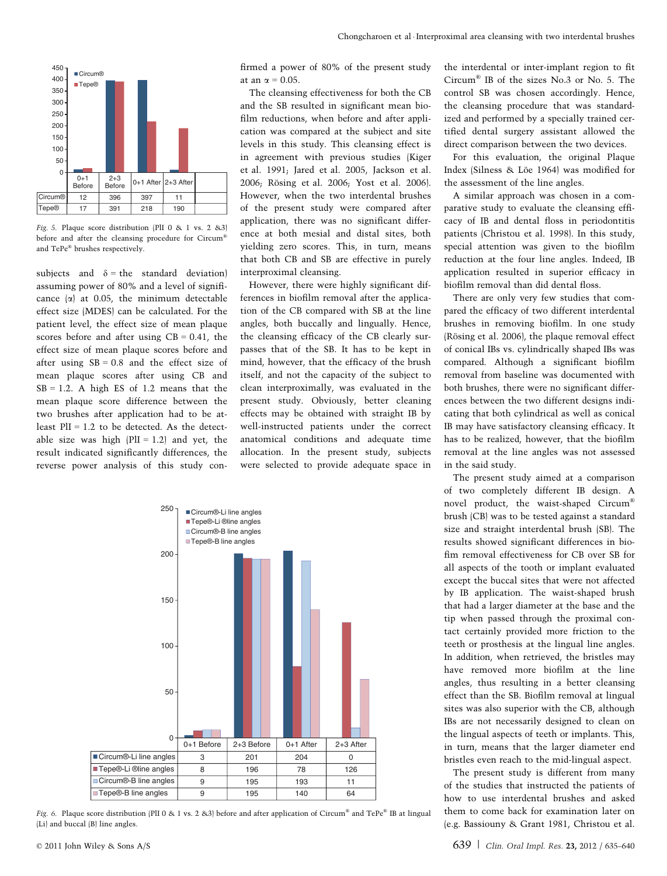



Fig. 5. Plaque score distribution (PlI 0 & 1 vs. 2 &3) before and after the cleansing procedure for Circum® and TePe® brushes respectively.

subjects and  $\delta$  = the standard deviation) assuming power of 80% and a level of significance  $\alpha$  at 0.05, the minimum detectable effect size (MDES) can be calculated. For the patient level, the effect size of mean plaque scores before and after using  $CB = 0.41$ , the effect size of mean plaque scores before and after using  $SB = 0.8$  and the effect size of mean plaque scores after using CB and  $SB = 1.2$ . A high ES of 1.2 means that the mean plaque score difference between the two brushes after application had to be atleast  $PII = 1.2$  to be detected. As the detectable size was high  $\text{[PII]} = 1.2$  and yet, the result indicated significantly differences, the reverse power analysis of this study confirmed a power of 80% of the present study at an  $\alpha$  = 0.05.

The cleansing effectiveness for both the CB and the SB resulted in significant mean biofilm reductions, when before and after application was compared at the subject and site levels in this study. This cleansing effect is in agreement with previous studies (Kiger et al. 1991; Jared et al. 2005, Jackson et al. 2006; Rösing et al. 2006; Yost et al. 2006). However, when the two interdental brushes of the present study were compared after application, there was no significant difference at both mesial and distal sites, both yielding zero scores. This, in turn, means that both CB and SB are effective in purely interproximal cleansing.

However, there were highly significant differences in biofilm removal after the application of the CB compared with SB at the line angles, both buccally and lingually. Hence, the cleansing efficacy of the CB clearly surpasses that of the SB. It has to be kept in mind, however, that the efficacy of the brush itself, and not the capacity of the subject to clean interproximally, was evaluated in the present study. Obviously, better cleaning effects may be obtained with straight IB by well-instructed patients under the correct anatomical conditions and adequate time allocation. In the present study, subjects were selected to provide adequate space in



Fig. 6. Plaque score distribution (PlI 0 & 1 vs. 2 &3) before and after application of Circum® and TePe® IB at lingual (Li) and buccal (B) line angles.

the interdental or inter-implant region to fit Circum® IB of the sizes No.3 or No. 5. The control SB was chosen accordingly. Hence, the cleansing procedure that was standardized and performed by a specially trained certified dental surgery assistant allowed the direct comparison between the two devices.

For this evaluation, the original Plaque Index (Silness & Löe 1964) was modified for the assessment of the line angles.

A similar approach was chosen in a comparative study to evaluate the cleansing efficacy of IB and dental floss in periodontitis patients (Christou et al. 1998). In this study, special attention was given to the biofilm reduction at the four line angles. Indeed, IB application resulted in superior efficacy in biofilm removal than did dental floss.

There are only very few studies that compared the efficacy of two different interdental brushes in removing biofilm. In one study (Rösing et al. 2006), the plaque removal effect of conical IBs vs. cylindrically shaped IBs was compared. Although a significant biofilm removal from baseline was documented with both brushes, there were no significant differences between the two different designs indicating that both cylindrical as well as conical IB may have satisfactory cleansing efficacy. It has to be realized, however, that the biofilm removal at the line angles was not assessed in the said study.

The present study aimed at a comparison of two completely different IB design. A novel product, the waist-shaped Circum® brush (CB) was to be tested against a standard size and straight interdental brush (SB). The results showed significant differences in biofim removal effectiveness for CB over SB for all aspects of the tooth or implant evaluated except the buccal sites that were not affected by IB application. The waist-shaped brush that had a larger diameter at the base and the tip when passed through the proximal contact certainly provided more friction to the teeth or prosthesis at the lingual line angles. In addition, when retrieved, the bristles may have removed more biofilm at the line angles, thus resulting in a better cleansing effect than the SB. Biofilm removal at lingual sites was also superior with the CB, although IBs are not necessarily designed to clean on the lingual aspects of teeth or implants. This, in turn, means that the larger diameter end bristles even reach to the mid-lingual aspect.

The present study is different from many of the studies that instructed the patients of how to use interdental brushes and asked them to come back for examination later on (e.g. Bassiouny & Grant 1981, Christou et al.